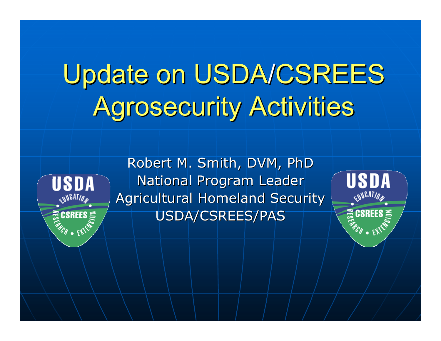# Update on USDA/CSREES<br>Agrosecurity Activities Agrosecurity Activities



Robert M. Smith, DVM, PhD National Program Leader Agricultural Homeland Security USDA/CSREES/PAS

USDA **CALATION Exposed SE**<br>Exposure 25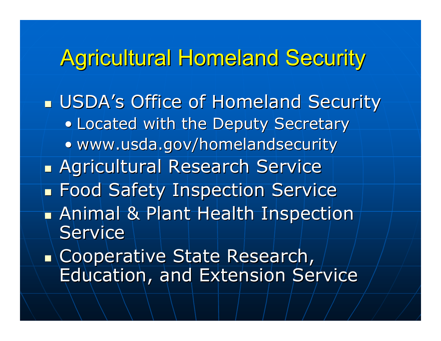#### Agricultural Homeland Security

**u USDA's Office of Homeland Security** • Located with the Deputy Secretary • www.usda.gov/homelandsecurity T. **Agricultural Research Service** kana.<br>Kabupatèn Kabupatèn Kabupatèn Kabupatèn Kabupatèn Kabupatèn Kabupatèn Kabupatèn Kabupatèn Kabupatèn Kabupatèn **Food Safety Inspection Service**  $\blacksquare$  Animal & Plant Health Inspection Service T. **Example rative State Research,** Education, and Extension Service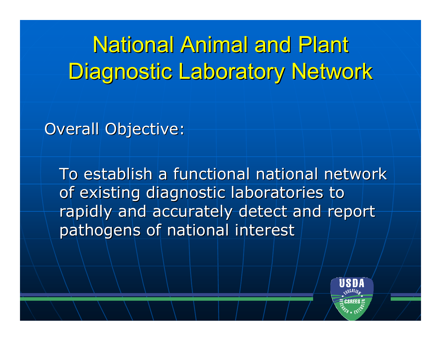## National Animal and Plant Diagnostic Laboratory Network Diagnostic Laboratory Network

**Overall Objective:** 

To establish a functional national network To establish a functional national network of existing diagnostic laboratories to rapidly and accurately detect and report pathogens of national interest

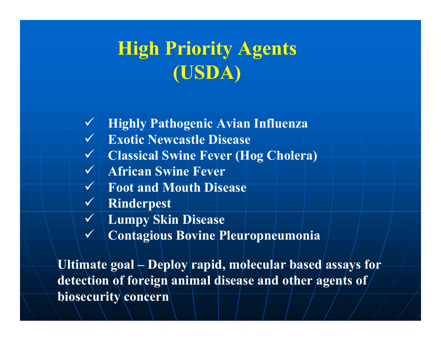#### **High Priority Agents (USDA)**

- 9 **Highly Pathogenic Avian Influenza**
- 9 **Exotic Newcastle Disease**
- 9 **Classical Swine Fever (Hog Cholera)**
- 9 **African Swine Fever**
- 9 **Foot and Mouth Disease**
- 9 **Rinderpest**
- 9 **Lumpy Skin Disease**
- $\checkmark$ **Contagious Bovine Pleuropneumonia**

**Ultimate goal – Deploy rapid, molecular based assays for detection of foreign animal disease and other agents of biosecurity concern**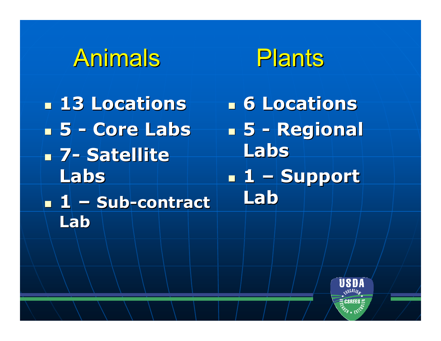



 **13 Locations 13 Locations 5 - Core Labs Core Labs 7 -- Satellite Labs 1 –- Sub-contract Lab**

 **6 Locations 6 Locations 5 - Regional Regional Labs 1 –Support Lab**

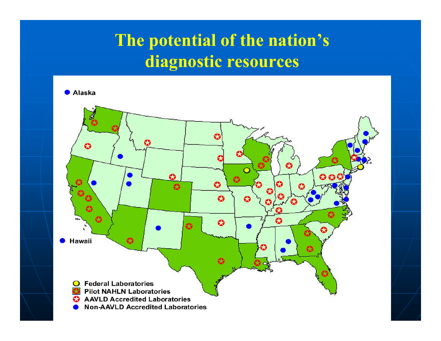#### **The potential of the nation's diagnostic resources**

 $\bullet$  Alaska

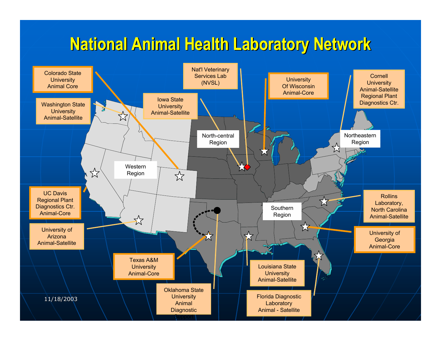#### **National Animal Health Laboratory Network National Animal Health Laboratory Network**

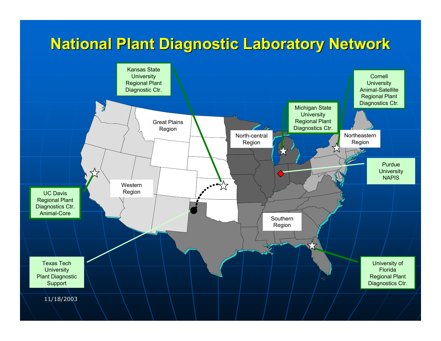#### **National Plant Diagnostic Laboratory Network National Plant Diagnostic Laboratory Network**

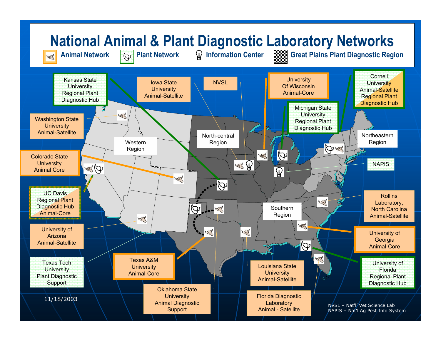#### **National Animal & Plant Diagnostic Laboratory Networks**



Animal Network **Property Plant Network** Q Information Center **Research Container Plant Diagnostic Region** 

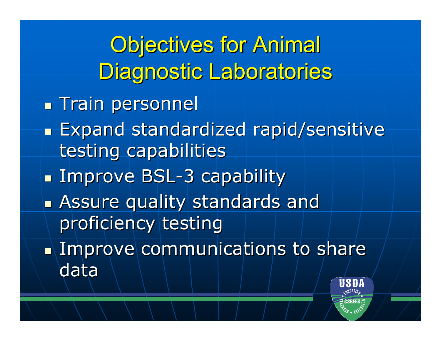**Objectives for Animal** Diagnostic Laboratories **Train personnel** h. **Expand standardized rapid/sensitive** testing capabilities k. **Examprove BSL-3 capability** T. **Assure quality standards and Assure quality standards and** proficiency testing T.  $\blacksquare$  Improve communications to share data

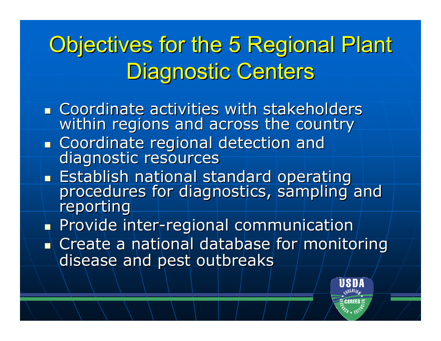## Objectives for the 5 Regional Plant Diagnostic Centers

- **EXCOORDINATE COORDINATE:** Coordinate activities with stakeholders within regions and across the country
- $\overline{\phantom{a}}$ **Example 1** Coordinate regional detection and diagnostic resources
- **Establish national standard operating** procedures for diagnostics, sampling and<br>reporting
- **Provide inter-regional communication**
- $\blacksquare$  Create a national database for monitoring disease and pest outbreaks

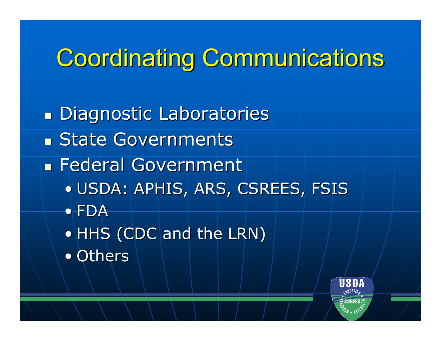## **Coordinating Communications**

- **Diagnostic Laboratories State Governments E** Federal Government • USDA: APHIS, ARS, CSREES, FSIS • FDA $\bullet$  HHS (CDC and the LRN)
	- Others

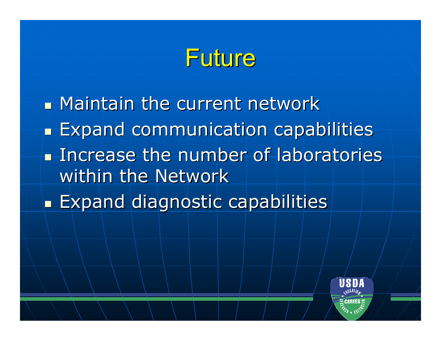#### Future

 $\blacksquare$  Maintain the current network h. **Expand communication capabilities Increase the number of laboratories** within the Network T. **Expand diagnostic capabilities** 

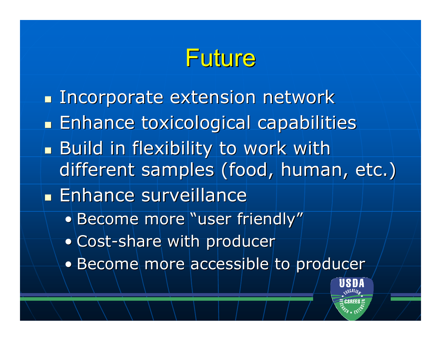## Future

**Incorporate extension network** l. **Enhance toxicological capabilities** Build in flexibility to work with different samples (food, human, etc.) **Enhance surveillance Enhance**  $\bullet$  Become more "user friendly" • Cost-share with producer • Become more accessible to producer

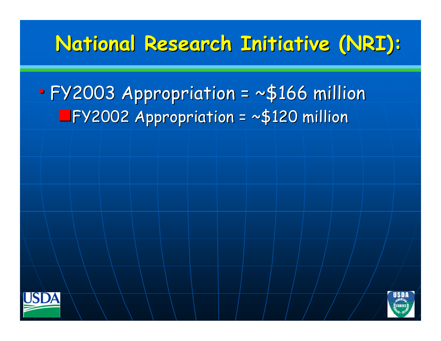#### **National Research Initiative (NRI): National Research Initiative (NRI):**

#### $\bullet$  FY2003 Appropriation = ~\$166 million FY2003 Appropriation = ~\$166 million  $TFY2002$  Appropriation = ~\$120 million



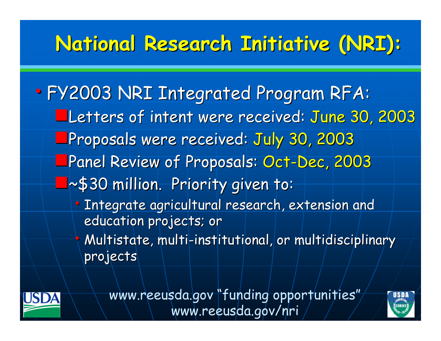#### **National Research Initiative (NRI): National Research Initiative (NRI):**

• FY2003 NRI Integrated Program RFA: Letters of intent were received: June 30, 2003 Proposals were received: July 30, 2003 **\_Panel Review of Proposals: Oct-Dec, 2003**  $\blacksquare$ ~\$30 million. Priority given to: • Integrate agricultural research, extension and education projects; or  $\bigcap$  $\diamond$  Multistate, multi-institutional, or multidisciplinary projects



www.reeusda.gov "funding opportunities" www.reeusda.gov/nri

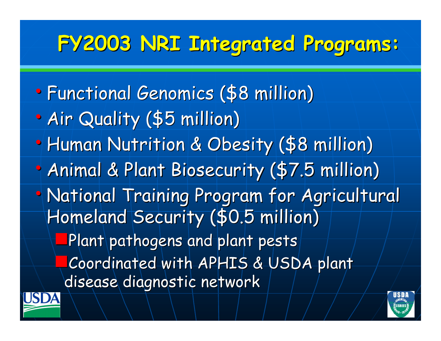## **FY2003 NRI Integrated Programs: FY2003 NRI Integrated Programs:**

 $\bullet$ • Functional Genomics (\$8 million)  $\bullet$ • Air Quality (\$5 million)  $\bullet$ • Human Nutrition & Obesity (\$8 million)  $\bullet$ • Animal & Plant Biosecurity (\$7.5 million) • National Training Program for Agricultural Homeland Security (\$0.5 million) Plant pathogens and plant pests Coordinated with APHIS & USDA plant disease diagnostic network



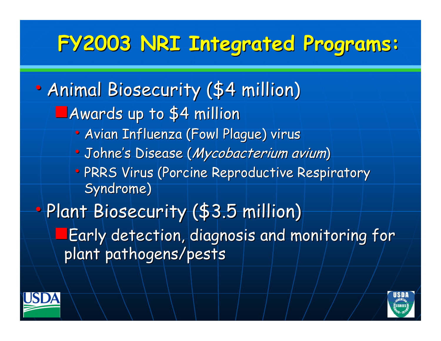## **FY2003 NRI Integrated Programs: FY2003 NRI Integrated Programs:**

 $\bullet$ • Animal Biosecurity (\$4 million)  $\blacksquare$  Awards up to \$4 million • Avian Influenza (Fowl Plague) virus • Johne's Disease (*Mycobacterium avium*) • PRRS Virus (Porcine Reproductive Respiratory Syndrome)  $\bullet$ • Plant Biosecurity (\$3.5 million) **Early detection, diagnosis and monitoring for** plant pathogens/pests



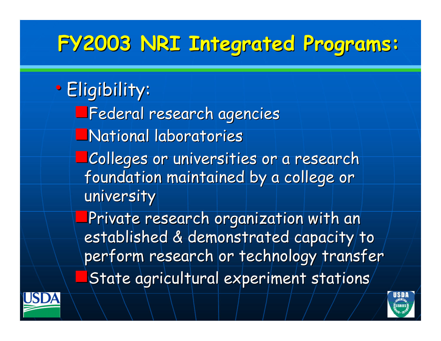### **FY2003 NRI Integrated Programs: FY2003 NRI Integrated Programs:**

• Eligibility: **Federal research agencies National laboratories** Colleges or universities or a research Colleges or universities or a research foundation maintained by a college or university Private research organization with an established & demonstrated capacity/to perform research or technology transfer State agricultural experiment stations



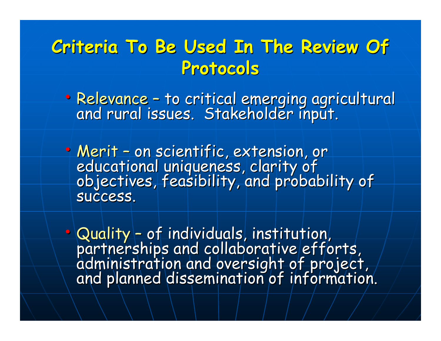#### **Criteria To Be Used In The Review Of Criteria To Be Used In The Review Of Protocols Protocols**

• Relevance –Relevance – to critical emerging agricultural<br>and rural issues. Stakeholder input.

• Merit –Merit – on scientific, extension, or<br>educational uniqueness, clarity of<br>objectives, feasibility, and probability of success.

• Quality –Quality – of individuals, institution,<br>partnerships and collaborative efforts,<br>administration and oversight of project,<br>and planned dissemination of information.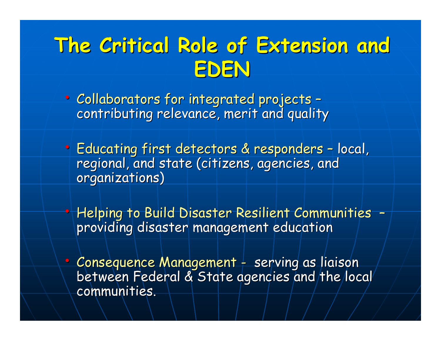#### **The Critical Role of Extension and The Critical Role of Extension and EDEN**

• Collaborators for integrated projects – contributing relevance, merit and quality

 $\bullet$ 

- Educating first detectors & responders  $$  local, regional, and state (citizens, agencies, and organizations)
- Helping to Build Disaster Resilient Communities – providing disaster management education
- Consequence Management between Federal & State agencies and the local communities.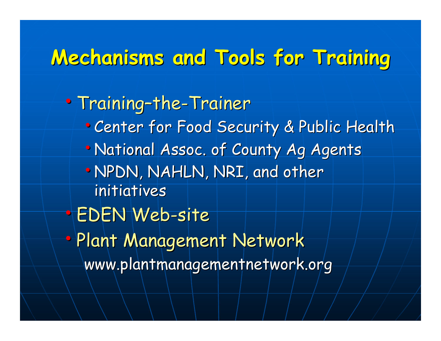#### **Mechanisms and Tools for Training Mechanisms and Tools for Training**

• Training-the-Trainer • Center for Food Security & Public Health • National Assoc. of County Ag Agents •NPDN, NAHLN, NRI, and other initiatives • EDEN Web-site • Plant Management Network www.plantmanagementnetwork.org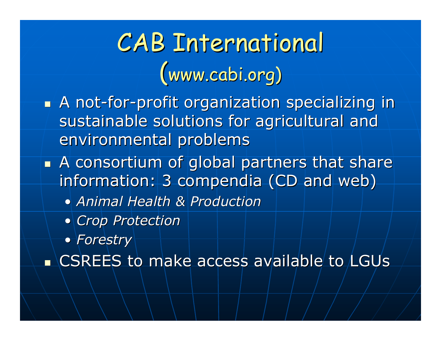# CAB International CAB International  $(www.cabi.org)$

- **A** not-for-profit organization specializing in sustainable solutions for agricultural and environmental problems
- $\blacksquare$  A consortium of global partners that share information: 3 compendia (CD and web)
	- *Animal He Animal Health & Production alth & Production*
	- *Crop Protection Crop Protection*
	- *Forestry Forestry*

 $\blacksquare$  CSREES to make access available to LGUs